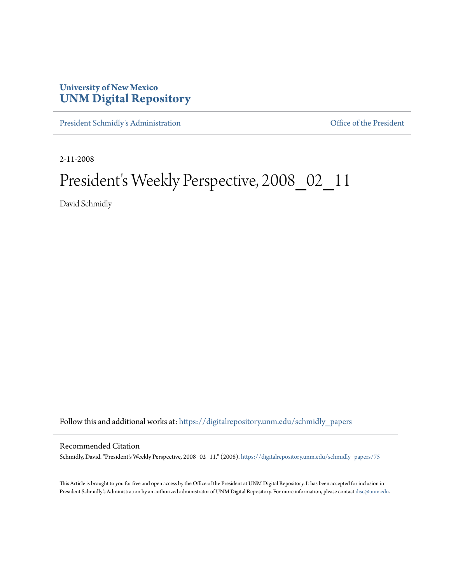# **University of New Mexico [UNM Digital Repository](https://digitalrepository.unm.edu?utm_source=digitalrepository.unm.edu%2Fschmidly_papers%2F75&utm_medium=PDF&utm_campaign=PDFCoverPages)**

[President Schmidly's Administration](https://digitalrepository.unm.edu/schmidly_papers?utm_source=digitalrepository.unm.edu%2Fschmidly_papers%2F75&utm_medium=PDF&utm_campaign=PDFCoverPages) [Office of the President](https://digitalrepository.unm.edu/ofc_president?utm_source=digitalrepository.unm.edu%2Fschmidly_papers%2F75&utm_medium=PDF&utm_campaign=PDFCoverPages)

2-11-2008

# President's Weekly Perspective, 2008\_02\_11

David Schmidly

Follow this and additional works at: [https://digitalrepository.unm.edu/schmidly\\_papers](https://digitalrepository.unm.edu/schmidly_papers?utm_source=digitalrepository.unm.edu%2Fschmidly_papers%2F75&utm_medium=PDF&utm_campaign=PDFCoverPages)

#### Recommended Citation

Schmidly, David. "President's Weekly Perspective, 2008\_02\_11." (2008). [https://digitalrepository.unm.edu/schmidly\\_papers/75](https://digitalrepository.unm.edu/schmidly_papers/75?utm_source=digitalrepository.unm.edu%2Fschmidly_papers%2F75&utm_medium=PDF&utm_campaign=PDFCoverPages)

This Article is brought to you for free and open access by the Office of the President at UNM Digital Repository. It has been accepted for inclusion in President Schmidly's Administration by an authorized administrator of UNM Digital Repository. For more information, please contact [disc@unm.edu](mailto:disc@unm.edu).